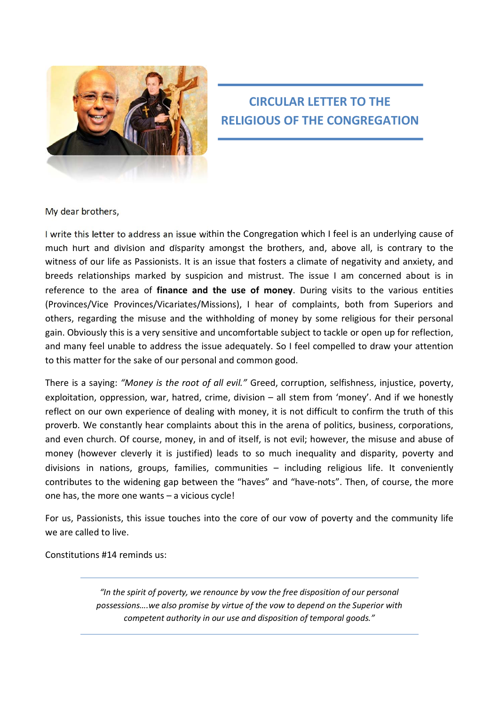

# **CIRCULAR LETTER TO THE RELIGIOUS OF THE CONGREGATION**

My dear brothers,

I write this letter to address an issue within the Congregation which I feel is an underlying cause of much hurt and division and disparity amongst the brothers, and, above all, is contrary to the witness of our life as Passionists. It is an issue that fosters a climate of negativity and anxiety, and breeds relationships marked by suspicion and mistrust. The issue I am concerned about is in reference to the area of **finance and the use of money**. During visits to the various entities (Provinces/Vice Provinces/Vicariates/Missions), I hear of complaints, both from Superiors and others, regarding the misuse and the withholding of money by some religious for their personal gain. Obviously this is a very sensitive and uncomfortable subject to tackle or open up for reflection, and many feel unable to address the issue adequately. So I feel compelled to draw your attention to this matter for the sake of our personal and common good.

There is a saying: *"Money is the root of all evil."* Greed, corruption, selfishness, injustice, poverty, exploitation, oppression, war, hatred, crime, division – all stem from 'money'. And if we honestly reflect on our own experience of dealing with money, it is not difficult to confirm the truth of this proverb. We constantly hear complaints about this in the arena of politics, business, corporations, and even church. Of course, money, in and of itself, is not evil; however, the misuse and abuse of money (however cleverly it is justified) leads to so much inequality and disparity, poverty and divisions in nations, groups, families, communities – including religious life. It conveniently contributes to the widening gap between the "haves" and "have‐nots". Then, of course, the more one has, the more one wants – a vicious cycle!

For us, Passionists, this issue touches into the core of our vow of poverty and the community life we are called to live.

Constitutions #14 reminds us:

*"In the spirit of poverty, we renounce by vow the free disposition of our personal possessions….we also promise by virtue of the vow to depend on the Superior with competent authority in our use and disposition of temporal goods."*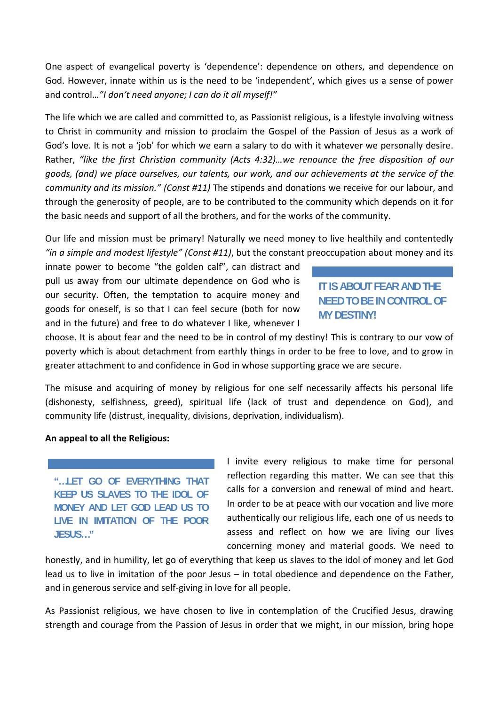One aspect of evangelical poverty is 'dependence': dependence on others, and dependence on God. However, innate within us is the need to be 'independent', which gives us a sense of power and control…*"I don't need anyone; I can do it all myself!"*

The life which we are called and committed to, as Passionist religious, is a lifestyle involving witness to Christ in community and mission to proclaim the Gospel of the Passion of Jesus as a work of God's love. It is not a 'job' for which we earn a salary to do with it whatever we personally desire. Rather, *"like the first Christian community (Acts 4:32)…we renounce the free disposition of our goods, (and) we place ourselves, our talents, our work, and our achievements at the service of the community and its mission." (Const #11)* The stipends and donations we receive for our labour, and through the generosity of people, are to be contributed to the community which depends on it for the basic needs and support of all the brothers, and for the works of the community.

Our life and mission must be primary! Naturally we need money to live healthily and contentedly *"in a simple and modest lifestyle" (Const #11)*, but the constant preoccupation about money and its

innate power to become "the golden calf", can distract and pull us away from our ultimate dependence on God who is our security. Often, the temptation to acquire money and goods for oneself, is so that I can feel secure (both for now and in the future) and free to do whatever I like, whenever I

### **IT IS ABOUT FEAR AND THE NEED TO BE IN CONTROL OF MY DESTINY!**

choose. It is about fear and the need to be in control of my destiny! This is contrary to our vow of poverty which is about detachment from earthly things in order to be free to love, and to grow in greater attachment to and confidence in God in whose supporting grace we are secure.

The misuse and acquiring of money by religious for one self necessarily affects his personal life (dishonesty, selfishness, greed), spiritual life (lack of trust and dependence on God), and community life (distrust, inequality, divisions, deprivation, individualism).

#### **An appeal to all the Religious:**

**"…LET GO OF EVERYTHING THAT KEEP US SLAVES TO THE IDOL OF MONEY AND LET GOD LEAD US TO LIVE IN IMITATION OF THE POOR JESUS…"** 

I invite every religious to make time for personal reflection regarding this matter. We can see that this calls for a conversion and renewal of mind and heart. In order to be at peace with our vocation and live more authentically our religious life, each one of us needs to assess and reflect on how we are living our lives concerning money and material goods. We need to

honestly, and in humility, let go of everything that keep us slaves to the idol of money and let God lead us to live in imitation of the poor Jesus – in total obedience and dependence on the Father, and in generous service and self‐giving in love for all people.

As Passionist religious, we have chosen to live in contemplation of the Crucified Jesus, drawing strength and courage from the Passion of Jesus in order that we might, in our mission, bring hope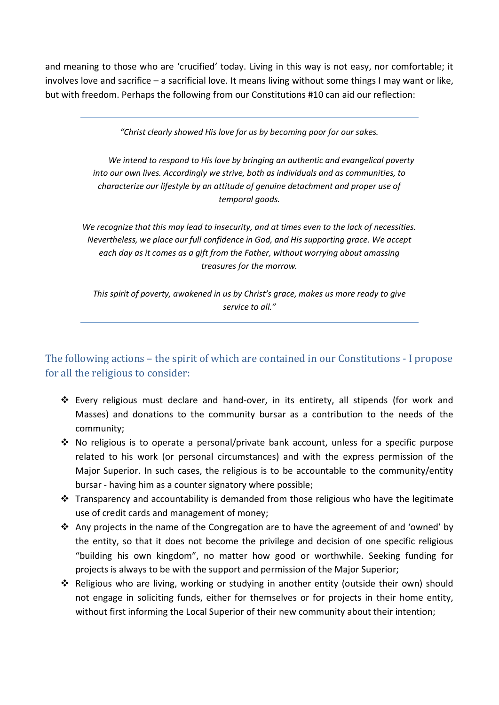and meaning to those who are 'crucified' today. Living in this way is not easy, nor comfortable; it involves love and sacrifice – a sacrificial love. It means living without some things I may want or like, but with freedom. Perhaps the following from our Constitutions #10 can aid our reflection:

*"Christ clearly showed His love for us by becoming poor for our sakes.*

*We intend to respond to His love by bringing an authentic and evangelical poverty into our own lives. Accordingly we strive, both as individuals and as communities, to characterize our lifestyle by an attitude of genuine detachment and proper use of temporal goods.*

*We recognize that this may lead to insecurity, and at times even to the lack of necessities. Nevertheless, we place our full confidence in God, and His supporting grace. We accept each day as it comes as a gift from the Father, without worrying about amassing treasures for the morrow.*

*This spirit of poverty, awakened in us by Christ's grace, makes us more ready to give service to all."*

## The following actions – the spirit of which are contained in our Constitutions - I propose for all the religious to consider:

- Every religious must declare and hand‐over, in its entirety, all stipends (for work and Masses) and donations to the community bursar as a contribution to the needs of the community;
- $\cdot \cdot$  No religious is to operate a personal/private bank account, unless for a specific purpose related to his work (or personal circumstances) and with the express permission of the Major Superior. In such cases, the religious is to be accountable to the community/entity bursar ‐ having him as a counter signatory where possible;
- $\cdot$  Transparency and accountability is demanded from those religious who have the legitimate use of credit cards and management of money;
- \* Any projects in the name of the Congregation are to have the agreement of and 'owned' by the entity, so that it does not become the privilege and decision of one specific religious "building his own kingdom", no matter how good or worthwhile. Seeking funding for projects is always to be with the support and permission of the Major Superior;
- ◆ Religious who are living, working or studying in another entity (outside their own) should not engage in soliciting funds, either for themselves or for projects in their home entity, without first informing the Local Superior of their new community about their intention;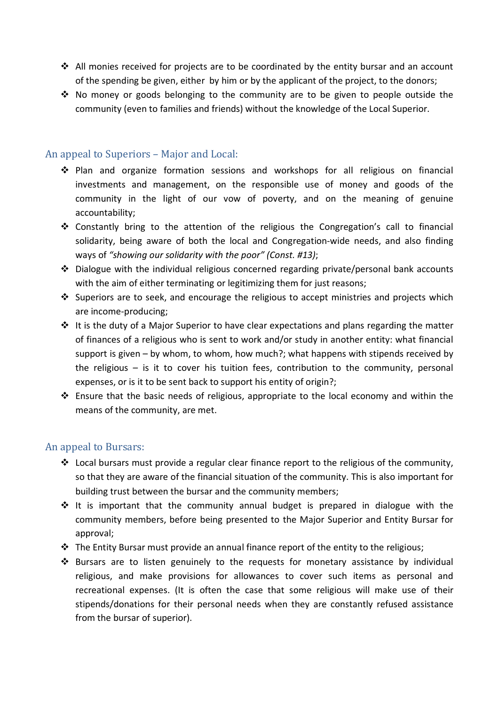- $\div$  All monies received for projects are to be coordinated by the entity bursar and an account of the spending be given, either by him or by the applicant of the project, to the donors;
- No money or goods belonging to the community are to be given to people outside the community (even to families and friends) without the knowledge of the Local Superior.

#### An appeal to Superiors – Major and Local:

- Plan and organize formation sessions and workshops for all religious on financial investments and management, on the responsible use of money and goods of the community in the light of our vow of poverty, and on the meaning of genuine accountability;
- \* Constantly bring to the attention of the religious the Congregation's call to financial solidarity, being aware of both the local and Congregation-wide needs, and also finding ways of *"showing our solidarity with the poor" (Const. #13)*;
- Dialogue with the individual religious concerned regarding private/personal bank accounts with the aim of either terminating or legitimizing them for just reasons;
- ❖ Superiors are to seek, and encourage the religious to accept ministries and projects which are income‐producing;
- $\cdot \cdot$  It is the duty of a Major Superior to have clear expectations and plans regarding the matter of finances of a religious who is sent to work and/or study in another entity: what financial support is given – by whom, to whom, how much?; what happens with stipends received by the religious – is it to cover his tuition fees, contribution to the community, personal expenses, or is it to be sent back to support his entity of origin?;
- $\div$  Ensure that the basic needs of religious, appropriate to the local economy and within the means of the community, are met.

### An appeal to Bursars:

- $\div$  Local bursars must provide a regular clear finance report to the religious of the community, so that they are aware of the financial situation of the community. This is also important for building trust between the bursar and the community members;
- $\div$  It is important that the community annual budget is prepared in dialogue with the community members, before being presented to the Major Superior and Entity Bursar for approval;
- $\cdot \cdot$  The Entity Bursar must provide an annual finance report of the entity to the religious;
- $\div$  Bursars are to listen genuinely to the requests for monetary assistance by individual religious, and make provisions for allowances to cover such items as personal and recreational expenses. (It is often the case that some religious will make use of their stipends/donations for their personal needs when they are constantly refused assistance from the bursar of superior).